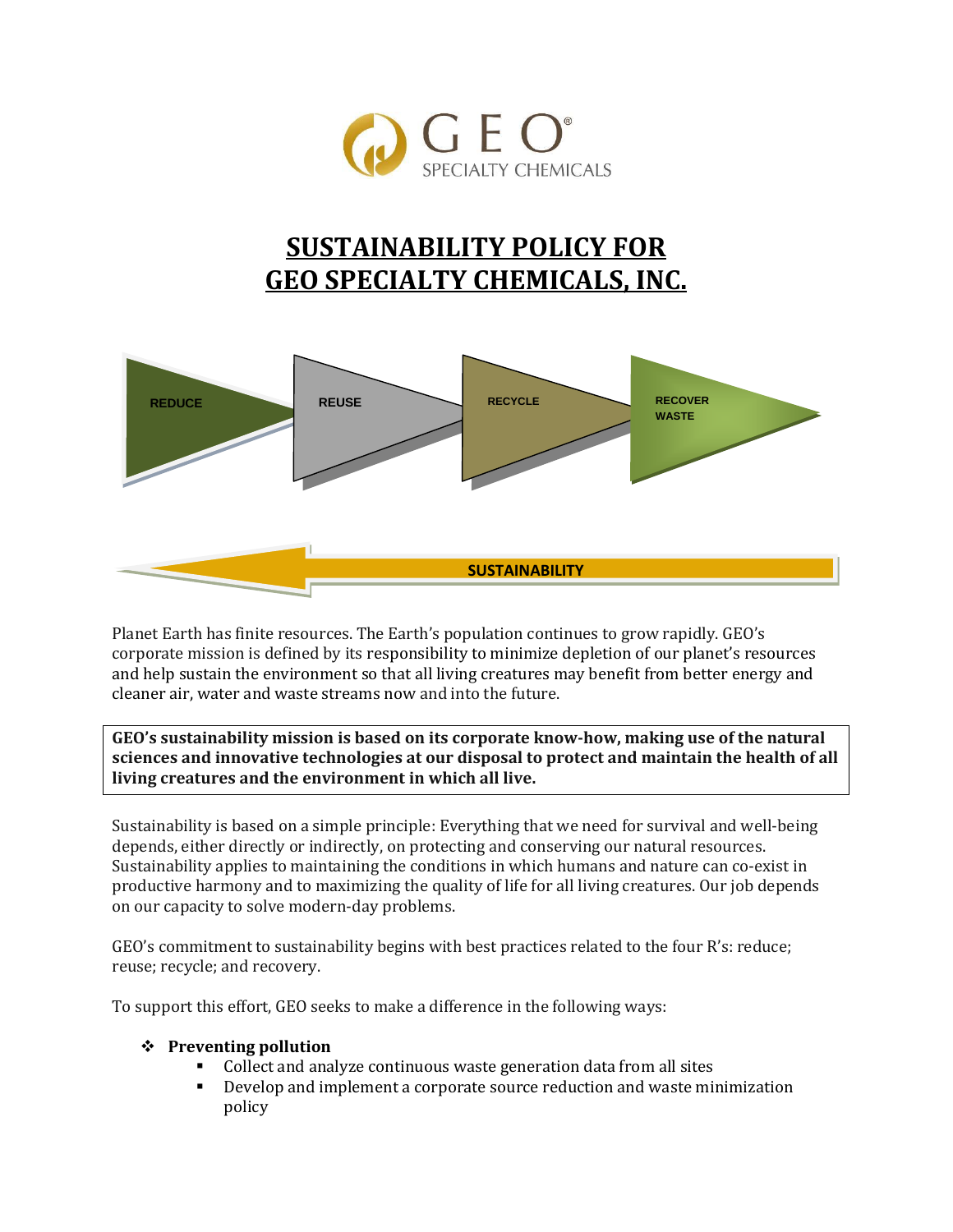

# **SUSTAINABILITY POLICY FOR GEO SPECIALTY CHEMICALS, INC.**



Planet Earth has finite resources. The Earth's population continues to grow rapidly. GEO's corporate mission is defined by its responsibility to minimize depletion of our planet's resources and help sustain the environment so that all living creatures may benefit from better energy and cleaner air, water and waste streams now and into the future.

**GEO's sustainability mission is based on its corporate know-how, making use of the natural sciences and innovative technologies at our disposal to protect and maintain the health of all living creatures and the environment in which all live.** 

Sustainability is based on a simple principle: Everything that we need for survival and well-being depends, either directly or indirectly, on protecting and conserving our natural resources. Sustainability applies to maintaining the conditions in which humans and nature can co-exist in productive harmony and to maximizing the quality of life for all living creatures. Our job depends on our capacity to solve modern-day problems.

GEO's commitment to sustainability begins with best practices related to the four R's: reduce; reuse; recycle; and recovery.

To support this effort, GEO seeks to make a difference in the following ways:

#### **Preventing pollution**

- Collect and analyze continuous waste generation data from all sites
- Develop and implement a corporate source reduction and waste minimization policy